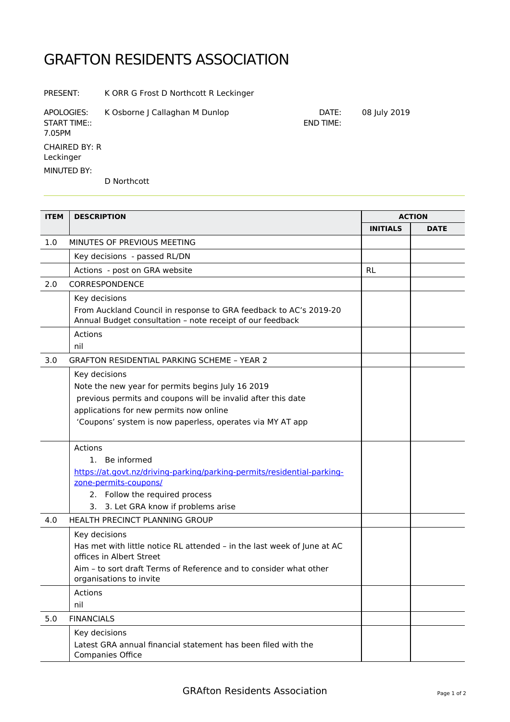## GRAFTON RESIDENTS ASSOCIATION

PRESENT: K ORR G Frost D Northcott R Leckinger

APOLOGIES: K Osborne J Callaghan M Dunlop DATE: 08 July 2019 START TIME:: 7.05PM CHAIRED BY: R Leckinger END TIME: MINUTED BY: D Northcott

**ITEM DESCRIPTION ACTION INITIALS DATE** 1.0 MINUTES OF PREVIOUS MEETING Key decisions - passed RL/DN Actions - post on GRA website RL RL 2.0 CORRESPONDENCE Key decisions From Auckland Council in response to GRA feedback to AC's 2019-20 Annual Budget consultation – note receipt of our feedback Actions nil 3.0 GRAFTON RESIDENTIAL PARKING SCHEME – YEAR 2 Key decisions Note the new year for permits begins July 16 2019 previous permits and coupons will be invalid after this date applications for new permits now online 'Coupons' system is now paperless, operates via MY AT app Actions 1. Be informed [https://at.govt.nz/driving-parking/parking-permits/residential-parking](https://at.govt.nz/driving-parking/parking-permits/residential-parking-zone-permits-coupons/)[zone-permits-coupons/](https://at.govt.nz/driving-parking/parking-permits/residential-parking-zone-permits-coupons/) 2. Follow the required process 3. 3. Let GRA know if problems arise 4.0 HEALTH PRECINCT PLANNING GROUP Key decisions Has met with little notice RL attended – in the last week of June at AC offices in Albert Street Aim – to sort draft Terms of Reference and to consider what other organisations to invite Actions nil 5.0 FINANCIALS Key decisions Latest GRA annual financial statement has been filed with the Companies Office